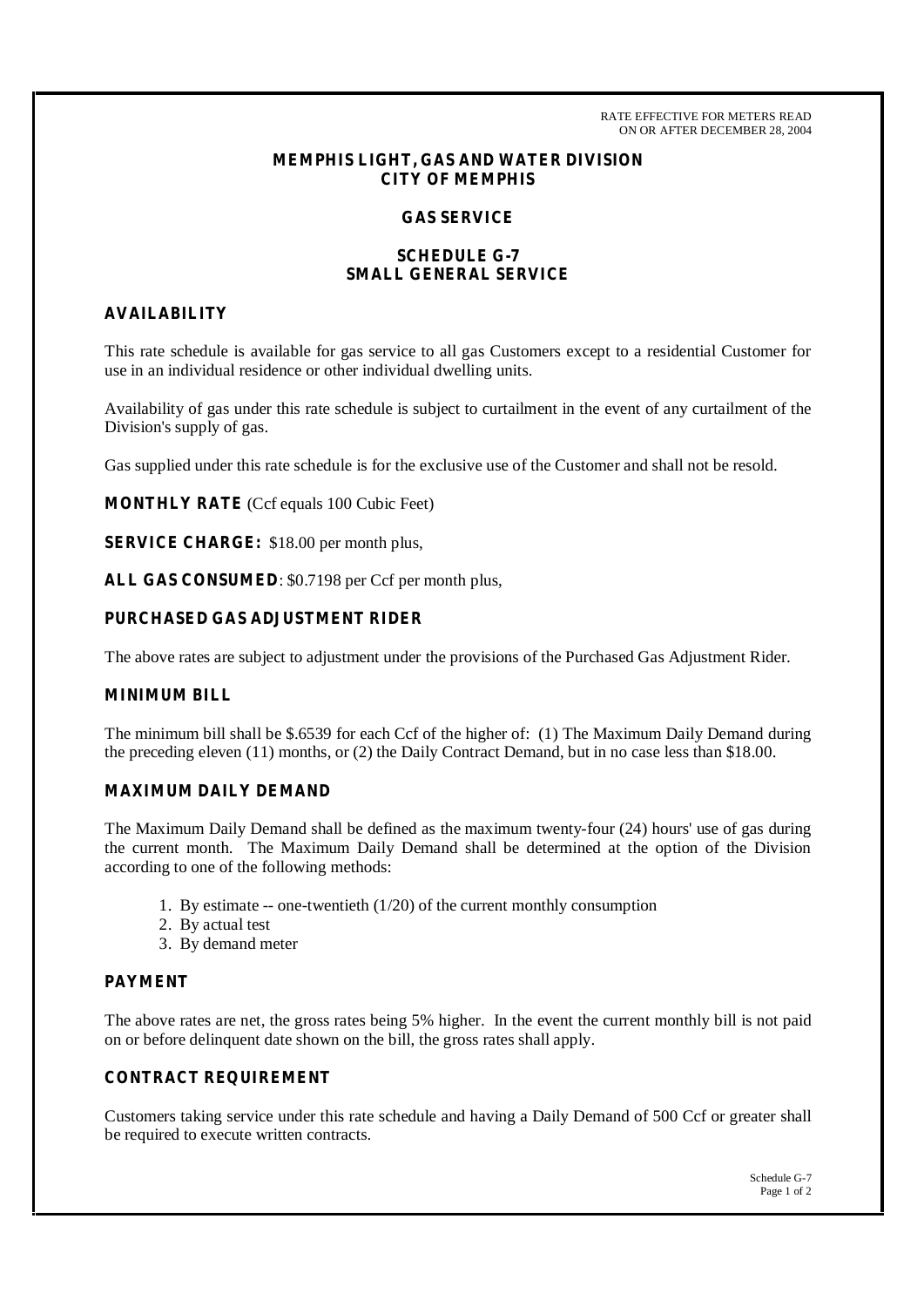RATE EFFECTIVE FOR METERS READ ON OR AFTER DECEMBER 28, 2004

# **MEMPHIS LIGHT, GAS AND WATER DIVISION CITY OF MEMPHIS**

### **GAS SERVICE**

# **SCHEDULE G-7 SMALL GENERAL SERVICE**

### **AVAILABILITY**

This rate schedule is available for gas service to all gas Customers except to a residential Customer for use in an individual residence or other individual dwelling units.

Availability of gas under this rate schedule is subject to curtailment in the event of any curtailment of the Division's supply of gas.

Gas supplied under this rate schedule is for the exclusive use of the Customer and shall not be resold.

**MONTHLY RATE** (Ccf equals 100 Cubic Feet)

**SERVICE CHARGE:** \$18.00 per month plus,

**ALL GAS CONSUMED**: \$0.7198 per Ccf per month plus,

### **PURCHASED GAS ADJUSTMENT RIDER**

The above rates are subject to adjustment under the provisions of the Purchased Gas Adjustment Rider.

# **MINIMUM BILL**

The minimum bill shall be \$.6539 for each Ccf of the higher of: (1) The Maximum Daily Demand during the preceding eleven (11) months, or (2) the Daily Contract Demand, but in no case less than \$18.00.

# **MAXIMUM DAILY DEMAND**

The Maximum Daily Demand shall be defined as the maximum twenty-four (24) hours' use of gas during the current month. The Maximum Daily Demand shall be determined at the option of the Division according to one of the following methods:

- 1. By estimate -- one-twentieth (1/20) of the current monthly consumption
- 2. By actual test
- 3. By demand meter

### **PAYMENT**

The above rates are net, the gross rates being 5% higher. In the event the current monthly bill is not paid on or before delinquent date shown on the bill, the gross rates shall apply.

# **CONTRACT REQUIREMENT**

Customers taking service under this rate schedule and having a Daily Demand of 500 Ccf or greater shall be required to execute written contracts.